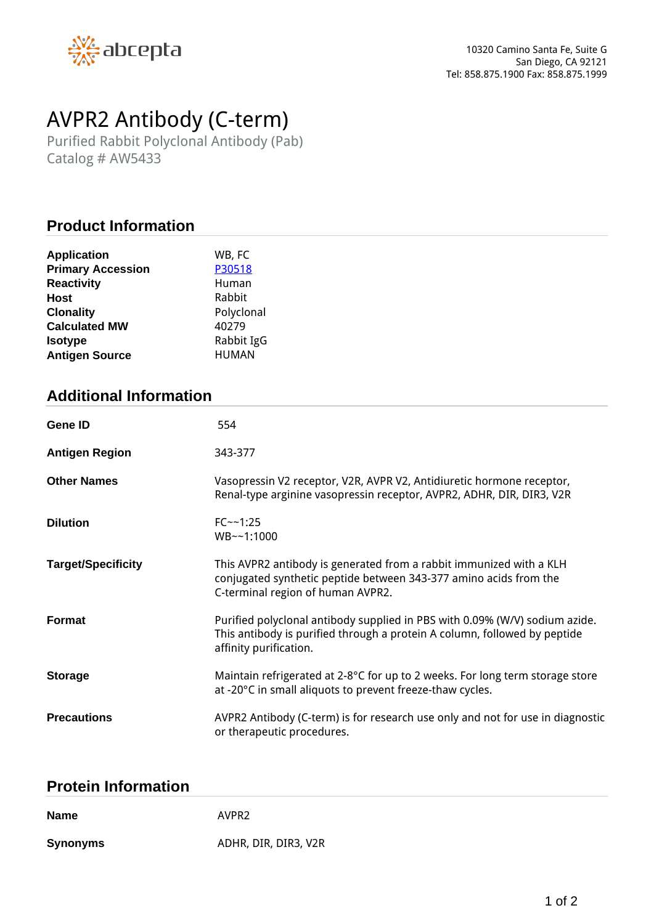

# *AVPR2 Antibody (C-term)*

*Purified Rabbit Polyclonal Antibody (Pab) Catalog # AW5433*

# **Product Information**

| WB, FC       |
|--------------|
| P30518       |
| Human        |
| Rabbit       |
| Polyclonal   |
| 40279        |
| Rabbit IgG   |
| <b>HUMAN</b> |
|              |

# **Additional Information**

| <b>Gene ID</b>            | 554                                                                                                                                                                                |
|---------------------------|------------------------------------------------------------------------------------------------------------------------------------------------------------------------------------|
| <b>Antigen Region</b>     | 343-377                                                                                                                                                                            |
| <b>Other Names</b>        | Vasopressin V2 receptor, V2R, AVPR V2, Antidiuretic hormone receptor,<br>Renal-type arginine vasopressin receptor, AVPR2, ADHR, DIR, DIR3, V2R                                     |
| <b>Dilution</b>           | $FC - -1:25$<br>WB~~1:1000                                                                                                                                                         |
| <b>Target/Specificity</b> | This AVPR2 antibody is generated from a rabbit immunized with a KLH<br>conjugated synthetic peptide between 343-377 amino acids from the<br>C-terminal region of human AVPR2.      |
| <b>Format</b>             | Purified polyclonal antibody supplied in PBS with 0.09% (W/V) sodium azide.<br>This antibody is purified through a protein A column, followed by peptide<br>affinity purification. |
| <b>Storage</b>            | Maintain refrigerated at 2-8°C for up to 2 weeks. For long term storage store<br>at -20°C in small aliquots to prevent freeze-thaw cycles.                                         |
| <b>Precautions</b>        | AVPR2 Antibody (C-term) is for research use only and not for use in diagnostic<br>or therapeutic procedures.                                                                       |

#### **Protein Information**

| <b>Name</b>     | AVPR <sub>2</sub>    |
|-----------------|----------------------|
| <b>Synonyms</b> | ADHR, DIR, DIR3, V2R |